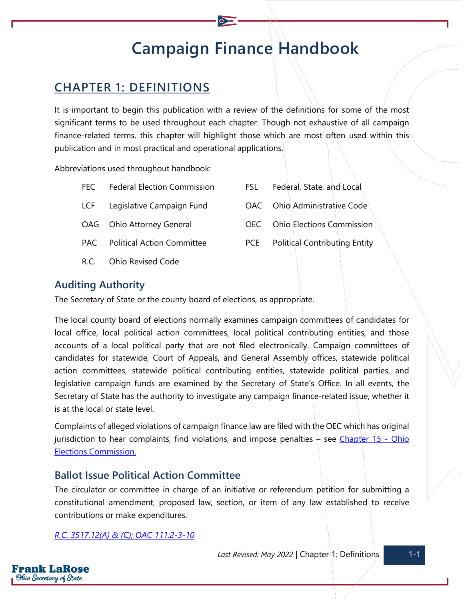# **Campaign Finance Handbook**

# **CHAPTER 1: DEFINITIONS**

It is important to begin this publication with a review of the definitions for some of the most significant terms to be used throughout each chapter. Though not exhaustive of all campaign finance-related terms, this chapter will highlight those which are most often used within this publication and in most practical and operational applications.

Abbreviations used throughout handbook:

- FEC Federal Election Commission FSL Federal, State, and Local
- LCF Legislative Campaign Fund OAC Ohio Administrative Code
- 
- 
- R.C. Ohio Revised Code
- -
- OAG Ohio Attorney General OEC Ohio Elections Commission
- PAC Political Action Committee PCE Political Contributing Entity

# **Auditing Authority**

The Secretary of State or the county board of elections, as appropriate.

The local county board of elections normally examines campaign dommittees of candidates for local office, local political action committees, local political contributing entities, and those accounts of a local political party that are not filed electronically. Campaign committees of candidates for statewide, Court of Appeals, and General Assembly offices, statewide political action committees, statewide political contributing entities, statewide political parties, and legislative campaign funds are examined by the Secretary of State's Office. In all events, the Secretary of State has the authority to investigate any campaign finance-related issue, whether it is at the local or state level.

Complaints of alleged violations of campaign finance law are filed with the OEC which has original jurisdiction to hear complaints, find violations, and impose penalties  $+$  see [Chapter 15](https://www.ohiosos.gov/globalassets/candidates/cfguide/chapters/chapter15.pdf) - Ohio [Elections Commission.](https://www.ohiosos.gov/globalassets/candidates/cfguide/chapters/chapter15.pdf)

# **Ballot Issue Political Action Committee**

The circulator or committee in charge of an initiative or referendum petition for submitting a constitutional amendment, proposed law, section, or item of any law established to receive contributions or make expenditures.

#### *[R.C. 3517.12\(A\) & \(C\);](https://codes.ohio.gov/ohio-revised-code/section-3517.12) [OAC 111:2-3-10](https://codes.ohio.gov/ohio-administrative-code/rule-111:2-3-10)*

Last Revised: May 2022 | Chapter 1: Definitions 1-1

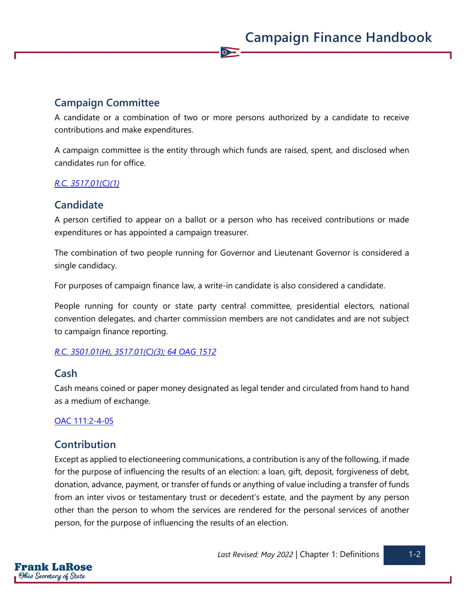# **Campaign Committee**

A candidate or a combination of two or more persons authorized by a candidate to receive contributions and make expenditures.

 $\bullet$ 

A campaign committee is the entity through which funds are raised, spent, and disclosed when candidates run for office.

## *[R.C. 3517.01\(C\)\(1\)](https://codes.ohio.gov/ohio-revised-code/section-3517.01)*

# **Candidate**

A person certified to appear on a ballot or a person who has received contributions or made expenditures or has appointed a campaign treasurer.

The combination of two people running for Governor and Lieutenant Governor is considered a single candidacy.

For purposes of campaign finance law, a write-in candidate is also considered a candidate.

People running for county or state party central committee, presidential electors, national convention delegates, and charter commission members are not candidates and are not subject to campaign finance reporting.

#### *[R.C. 3501.01\(H\),](https://codes.ohio.gov/ohio-revised-code/section-3501.01) [3517.01\(C\)\(3\);](https://codes.ohio.gov/ohio-revised-code/section-3517.01) [64 OAG 1512](https://www.ohioattorneygeneral.gov/getattachment/6d217620-3f75-4f8c-816c-89a2faf83115/1964-1512.aspx)*

# **Cash**

Cash means coined or paper money designated as legal tender and circulated from hand to hand as a medium of exchange.

#### [OAC 111:2-4-05](https://codes.ohio.gov/ohio-administrative-code/rule-111:2-4-05)

# **Contribution**

Except as applied to electioneering communications, a contribution is any of the following, if made for the purpose of influencing the results of an election: a loan, gift, deposit, forgiveness of debt, donation, advance, payment, or transfer of funds or anything of value including a transfer of funds from an inter vivos or testamentary trust or decedent's estate, and the payment by any person other than the person to whom the services are rendered for the personal services of another person, for the purpose of influencing the results of an election.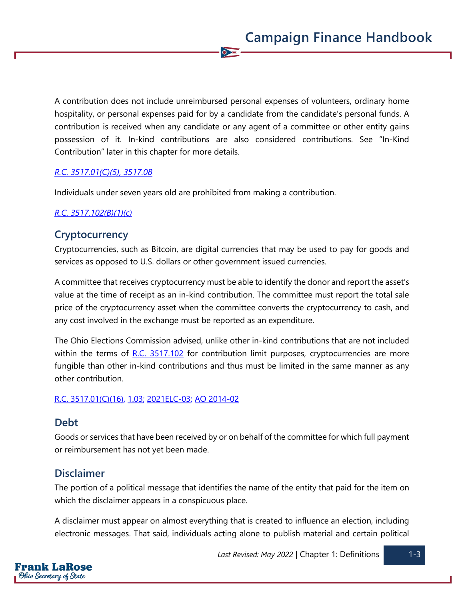A contribution does not include unreimbursed personal expenses of volunteers, ordinary home hospitality, or personal expenses paid for by a candidate from the candidate's personal funds. A contribution is received when any candidate or any agent of a committee or other entity gains possession of it. In-kind contributions are also considered contributions. See "In-Kind Contribution" later in this chapter for more details.

 $\bullet$ 

#### *[R.C. 3517.01\(C\)\(5\),](https://codes.ohio.gov/ohio-revised-code/section-3517.01) [3517.08](https://codes.ohio.gov/ohio-revised-code/section-3517.08)*

Individuals under seven years old are prohibited from making a contribution.

#### *[R.C. 3517.102\(B\)\(1\)\(c\)](https://codes.ohio.gov/ohio-revised-code/section-3517.102)*

## **Cryptocurrency**

Cryptocurrencies, such as Bitcoin, are digital currencies that may be used to pay for goods and services as opposed to U.S. dollars or other government issued currencies.

A committee that receives cryptocurrency must be able to identify the donor and report the asset's value at the time of receipt as an in-kind contribution. The committee must report the total sale price of the cryptocurrency asset when the committee converts the cryptocurrency to cash, and any cost involved in the exchange must be reported as an expenditure.

The Ohio Elections Commission advised, unlike other in-kind contributions that are not included within the terms of  $R.C. 3517.102$  for contribution limit purposes, cryptocurrencies are more fungible than other in-kind contributions and thus must be limited in the same manner as any other contribution.

#### [R.C. 3517.01\(C\)\(16\),](https://codes.ohio.gov/ohio-revised-code/section-3517.01) [1.03;](https://codes.ohio.gov/ohio-revised-code/section-1.03) [2021ELC-03;](https://elc.ohio.gov/opinions-decisions/advisory-opinions/by-year/2021elc03) [AO 2014-02](https://saos.fec.gov/aodocs/2014-02.pdf)

## **Debt**

Goods or services that have been received by or on behalf of the committee for which full payment or reimbursement has not yet been made.

# **Disclaimer**

The portion of a political message that identifies the name of the entity that paid for the item on which the disclaimer appears in a conspicuous place.

A disclaimer must appear on almost everything that is created to influence an election, including electronic messages. That said, individuals acting alone to publish material and certain political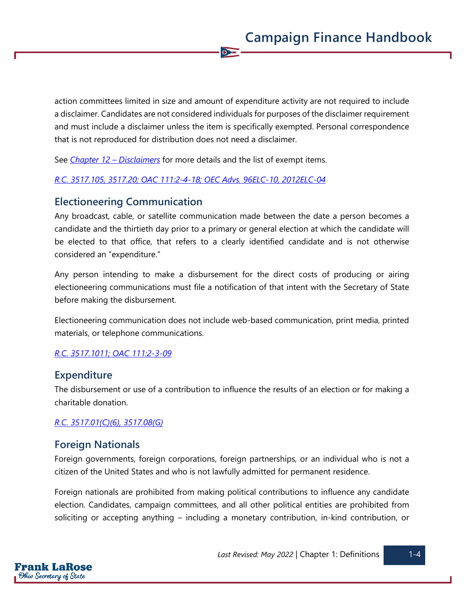action committees limited in size and amount of expenditure activity are not required to include a disclaimer. Candidates are not considered individuals for purposes of the disclaimer requirement and must include a disclaimer unless the item is specifically exempted. Personal correspondence that is not reproduced for distribution does not need a disclaimer.

 $\bullet$ 

See *[Chapter 12 – Disclaimers](https://www.ohiosos.gov/globalassets/candidates/cfguide/chapters/chapter12.pdf)* for more details and the list of exempt items.

#### *[R.C. 3517.105,](https://codes.ohio.gov/ohio-revised-code/section-3517.105) [3517.20;](https://codes.ohio.gov/ohio-revised-code/section-3517.20) [OAC 111:2-4-18;](https://codes.ohio.gov/ohio-administrative-code/rule-111:2-4-18) [OEC Advs. 96ELC-10,](https://elc.ohio.gov/wps/portal/gov/elc/opinions-decisions/advisory-opinions/by-year/96-10) [2012ELC-04](https://elc.ohio.gov/wps/portal/gov/elc/opinions-decisions/advisory-opinions/by-year/2012-04)*

## **Electioneering Communication**

Any broadcast, cable, or satellite communication made between the date a person becomes a candidate and the thirtieth day prior to a primary or general election at which the candidate will be elected to that office, that refers to a clearly identified candidate and is not otherwise considered an "expenditure."

Any person intending to make a disbursement for the direct costs of producing or airing electioneering communications must file a notification of that intent with the Secretary of State before making the disbursement.

Electioneering communication does not include web-based communication, print media, printed materials, or telephone communications.

#### *[R.C. 3517.1011;](https://codes.ohio.gov/ohio-revised-code/section-3517.1011) [OAC 111:2-3-09](https://codes.ohio.gov/ohio-administrative-code/rule-111:2-3-09)*

#### **Expenditure**

The disbursement or use of a contribution to influence the results of an election or for making a charitable donation.

#### *[R.C. 3517.01\(C\)\(6\),](https://codes.ohio.gov/ohio-revised-code/section-3517.01) [3517.08\(G\)](https://codes.ohio.gov/ohio-revised-code/section-3517.08)*

## **Foreign Nationals**

Foreign governments, foreign corporations, foreign partnerships, or an individual who is not a citizen of the United States and who is not lawfully admitted for permanent residence.

Foreign nationals are prohibited from making political contributions to influence any candidate election. Candidates, campaign committees, and all other political entities are prohibited from soliciting or accepting anything – including a monetary contribution, in-kind contribution, or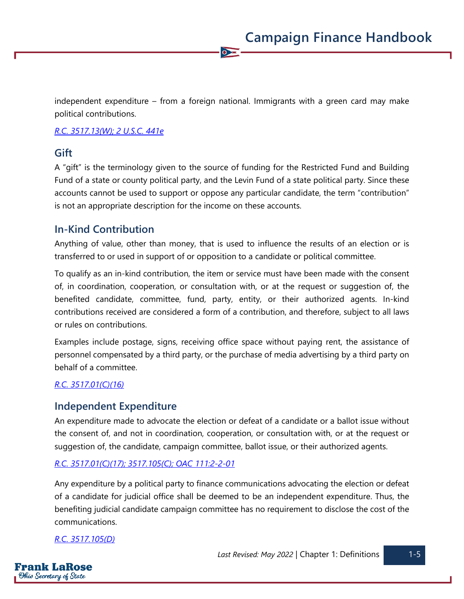independent expenditure – from a foreign national. Immigrants with a green card may make political contributions.

 $\bullet$ 

#### *[R.C. 3517.13\(W\);](https://codes.ohio.gov/ohio-revised-code/section-3517.13) [2 U.S.C. 441e](https://law.justia.com/codes/us/2001/title2/chap14/subchapi/sec441e)*

# **Gift**

A "gift" is the terminology given to the source of funding for the Restricted Fund and Building Fund of a state or county political party, and the Levin Fund of a state political party. Since these accounts cannot be used to support or oppose any particular candidate, the term "contribution" is not an appropriate description for the income on these accounts.

# **In-Kind Contribution**

Anything of value, other than money, that is used to influence the results of an election or is transferred to or used in support of or opposition to a candidate or political committee.

To qualify as an in-kind contribution, the item or service must have been made with the consent of, in coordination, cooperation, or consultation with, or at the request or suggestion of, the benefited candidate, committee, fund, party, entity, or their authorized agents. In-kind contributions received are considered a form of a contribution, and therefore, subject to all laws or rules on contributions.

Examples include postage, signs, receiving office space without paying rent, the assistance of personnel compensated by a third party, or the purchase of media advertising by a third party on behalf of a committee.

#### *[R.C. 3517.01\(C\)\(16\)](https://codes.ohio.gov/ohio-revised-code/section-3517.01)*

# **Independent Expenditure**

An expenditure made to advocate the election or defeat of a candidate or a ballot issue without the consent of, and not in coordination, cooperation, or consultation with, or at the request or suggestion of, the candidate, campaign committee, ballot issue, or their authorized agents.

#### *[R.C. 3517.01\(C\)\(17\);](https://codes.ohio.gov/ohio-revised-code/section-3517.01) [3517.105\(C\);](https://codes.ohio.gov/ohio-revised-code/section-3517.105) [OAC 111:2-2-01](https://codes.ohio.gov/ohio-administrative-code/rule-111:2-2-01)*

Any expenditure by a political party to finance communications advocating the election or defeat of a candidate for judicial office shall be deemed to be an independent expenditure. Thus, the benefiting judicial candidate campaign committee has no requirement to disclose the cost of the communications.

*[R.C. 3517.105\(D\)](https://codes.ohio.gov/ohio-revised-code/section-3517.105)*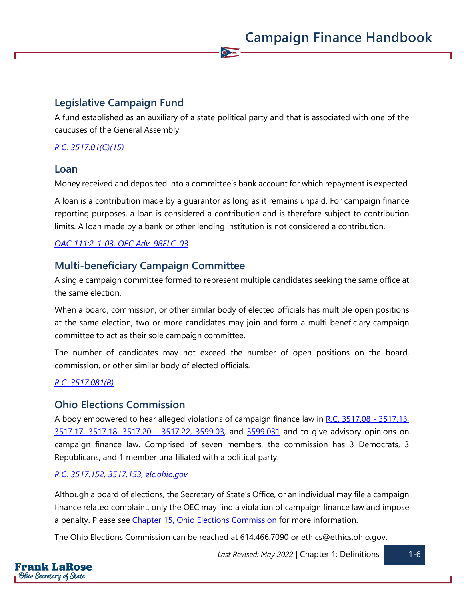# **Legislative Campaign Fund**

A fund established as an auxiliary of a state political party and that is associated with one of the caucuses of the General Assembly.

 $\bullet$ 

### *[R.C. 3517.01\(C\)\(15\)](https://codes.ohio.gov/ohio-revised-code/section-3517.01)*

#### **Loan**

Money received and deposited into a committee's bank account for which repayment is expected.

A loan is a contribution made by a guarantor as long as it remains unpaid. For campaign finance reporting purposes, a loan is considered a contribution and is therefore subject to contribution limits. A loan made by a bank or other lending institution is not considered a contribution.

#### *[OAC 111:2-1-03,](https://codes.ohio.gov/ohio-administrative-code/rule-111:2-1-03) [OEC Adv. 98ELC-03](https://elc.ohio.gov/wps/portal/gov/elc/opinions-decisions/advisory-opinions/by-year/98-03)*

# **Multi-beneficiary Campaign Committee**

A single campaign committee formed to represent multiple candidates seeking the same office at the same election.

When a board, commission, or other similar body of elected officials has multiple open positions at the same election, two or more candidates may join and form a multi-beneficiary campaign committee to act as their sole campaign committee.

The number of candidates may not exceed the number of open positions on the board, commission, or other similar body of elected officials.

#### *[R.C. 3517.081\(B\)](https://codes.ohio.gov/ohio-revised-code/section-3517.081)*

# **Ohio Elections Commission**

A body empowered to hear alleged violations of campaign finance law in [R.C. 3517.08 -](https://codes.ohio.gov/ohio-revised-code/chapter-3517) 3517.13, [3517.17, 3517.18, 3517.20](https://codes.ohio.gov/ohio-revised-code/chapter-3517) - 3517.22, [3599.03,](https://codes.ohio.gov/ohio-revised-code/section-3599.03) and [3599.031](https://codes.ohio.gov/ohio-revised-code/section-3599.031) and to give advisory opinions on campaign finance law. Comprised of seven members, the commission has 3 Democrats, 3 Republicans, and 1 member unaffiliated with a political party.

#### *[R.C. 3517.152,](https://codes.ohio.gov/ohio-revised-code/section-3517.152) [3517.153,](https://codes.ohio.gov/ohio-revised-code/section-3517.153) [elc.ohio.gov](https://ohiosos-my.sharepoint.com/personal/bkatz_sos_state_oh_us/Documents/Desktop/Handbook%20Pre-Legal/elc.ohio.gov)*

Although a board of elections, the Secretary of State's Office, or an individual may file a campaign finance related complaint, only the OEC may find a violation of campaign finance law and impose a penalty. Please see [Chapter 15, Ohio Elections Commission](https://www.ohiosos.gov/globalassets/candidates/cfguide/chapters/chapter15.pdf) for more information.

The Ohio Elections Commission can be reached at 614.466.7090 or ethics@ethics.ohio.gov.

Last Revised: May 2022 | Chapter 1: Definitions 1-6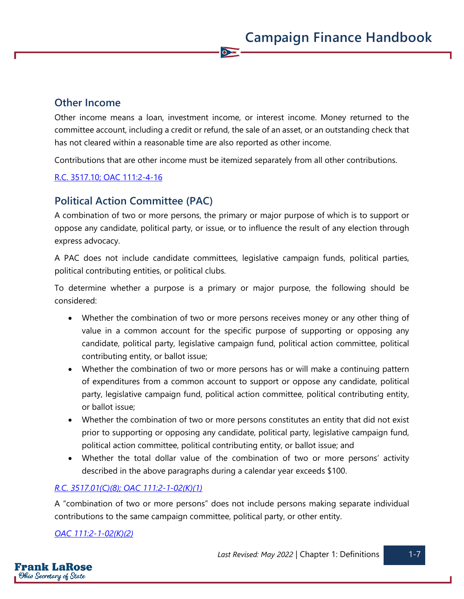# **Other Income**

Other income means a loan, investment income, or interest income. Money returned to the committee account, including a credit or refund, the sale of an asset, or an outstanding check that has not cleared within a reasonable time are also reported as other income.

 $\sum$ 

Contributions that are other income must be itemized separately from all other contributions.

#### [R.C. 3517.10;](https://codes.ohio.gov/ohio-revised-code/section-3517.10) [OAC 111:2-4-16](https://codes.ohio.gov/ohio-administrative-code/rule-111:2-4-16)

# **Political Action Committee (PAC)**

A combination of two or more persons, the primary or major purpose of which is to support or oppose any candidate, political party, or issue, or to influence the result of any election through express advocacy.

A PAC does not include candidate committees, legislative campaign funds, political parties, political contributing entities, or political clubs.

To determine whether a purpose is a primary or major purpose, the following should be considered:

- Whether the combination of two or more persons receives money or any other thing of value in a common account for the specific purpose of supporting or opposing any candidate, political party, legislative campaign fund, political action committee, political contributing entity, or ballot issue;
- Whether the combination of two or more persons has or will make a continuing pattern of expenditures from a common account to support or oppose any candidate, political party, legislative campaign fund, political action committee, political contributing entity, or ballot issue;
- Whether the combination of two or more persons constitutes an entity that did not exist prior to supporting or opposing any candidate, political party, legislative campaign fund, political action committee, political contributing entity, or ballot issue; and
- Whether the total dollar value of the combination of two or more persons' activity described in the above paragraphs during a calendar year exceeds \$100.

#### *[R.C. 3517.01\(C\)\(8\);](https://codes.ohio.gov/ohio-revised-code/section-3517.01) [OAC 111:2-1-02\(K\)\(1\)](https://codes.ohio.gov/ohio-administrative-code/rule-111:2-1-02)*

A "combination of two or more persons" does not include persons making separate individual contributions to the same campaign committee, political party, or other entity.

#### *[OAC 111:2-1-02\(K\)\(2\)](https://codes.ohio.gov/ohio-administrative-code/rule-111:2-1-02)*

Last Revised: May 2022 | Chapter 1: Definitions 1-7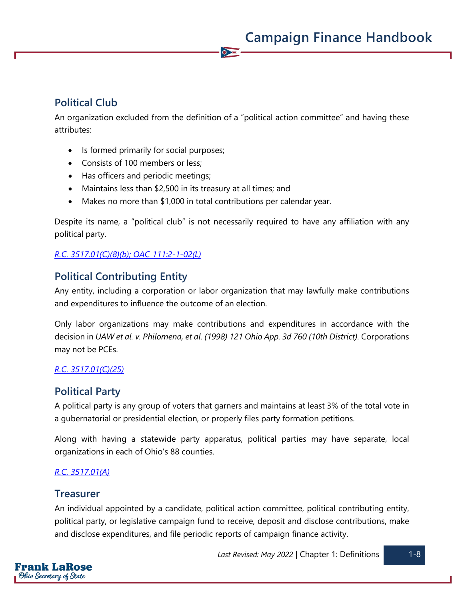# **Political Club**

An organization excluded from the definition of a "political action committee" and having these attributes:

 $\bullet$ 

- Is formed primarily for social purposes;
- Consists of 100 members or less;
- Has officers and periodic meetings;
- Maintains less than \$2,500 in its treasury at all times; and
- Makes no more than \$1,000 in total contributions per calendar year.

Despite its name, a "political club" is not necessarily required to have any affiliation with any political party.

#### *[R.C. 3517.01\(C\)\(8\)\(b\);](https://codes.ohio.gov/ohio-revised-code/section-3517.01) [OAC 111:2-1-02\(L\)](https://codes.ohio.gov/ohio-administrative-code/rule-111:2-1-02)*

# **Political Contributing Entity**

Any entity, including a corporation or labor organization that may lawfully make contributions and expenditures to influence the outcome of an election.

Only labor organizations may make contributions and expenditures in accordance with the decision in *UAW et al. v. Philomena, et al. (1998) 121 Ohio App. 3d 760 (10th District).* Corporations may not be PCEs.

## *[R.C. 3517.01\(C\)\(25\)](https://codes.ohio.gov/ohio-revised-code/section-3517.01)*

# **Political Party**

A political party is any group of voters that garners and maintains at least 3% of the total vote in a gubernatorial or presidential election, or properly files party formation petitions.

Along with having a statewide party apparatus, political parties may have separate, local organizations in each of Ohio's 88 counties.

## *[R.C. 3517.01\(A\)](https://codes.ohio.gov/ohio-revised-code/section-3517.01)*

## **Treasurer**

An individual appointed by a candidate, political action committee, political contributing entity, political party, or legislative campaign fund to receive, deposit and disclose contributions, make and disclose expenditures, and file periodic reports of campaign finance activity.